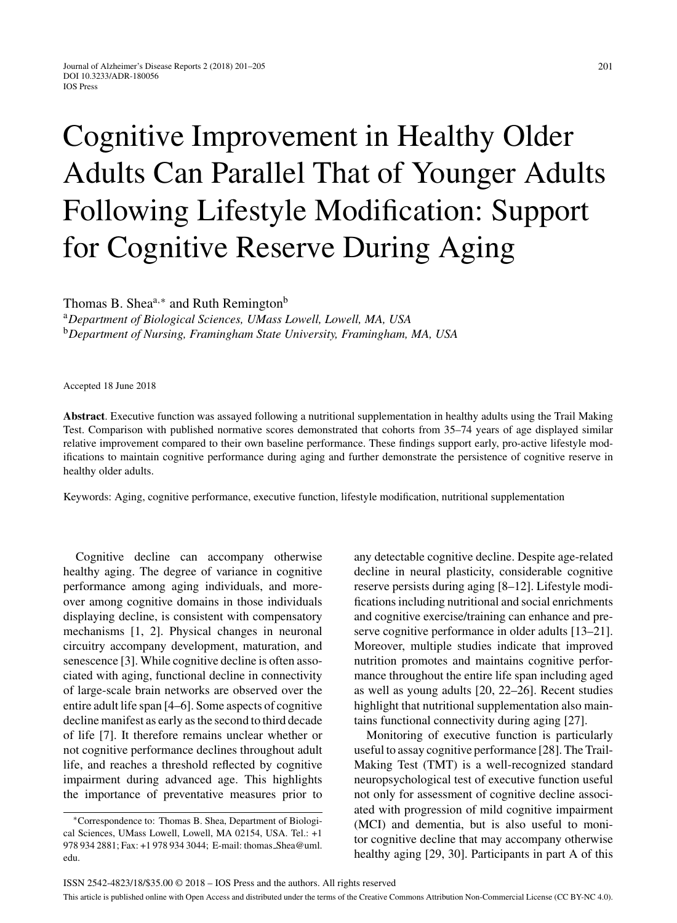## Cognitive Improvement in Healthy Older Adults Can Parallel That of Younger Adults Following Lifestyle Modification: Support for Cognitive Reserve During Aging

Thomas B. Shea<sup>a,\*</sup> and Ruth Remington<sup>b</sup>

<sup>a</sup>*Department of Biological Sciences, UMass Lowell, Lowell, MA, USA* <sup>b</sup>*Department of Nursing, Framingham State University, Framingham, MA, USA*

Accepted 18 June 2018

**Abstract**. Executive function was assayed following a nutritional supplementation in healthy adults using the Trail Making Test. Comparison with published normative scores demonstrated that cohorts from 35–74 years of age displayed similar relative improvement compared to their own baseline performance. These findings support early, pro-active lifestyle modifications to maintain cognitive performance during aging and further demonstrate the persistence of cognitive reserve in healthy older adults.

Keywords: Aging, cognitive performance, executive function, lifestyle modification, nutritional supplementation

Cognitive decline can accompany otherwise healthy aging. The degree of variance in cognitive performance among aging individuals, and moreover among cognitive domains in those individuals displaying decline, is consistent with compensatory mechanisms [1, 2]. Physical changes in neuronal circuitry accompany development, maturation, and senescence [3]. While cognitive decline is often associated with aging, functional decline in connectivity of large-scale brain networks are observed over the entire adult life span [4–6]. Some aspects of cognitive decline manifest as early as the second to third decade of life [7]. It therefore remains unclear whether or not cognitive performance declines throughout adult life, and reaches a threshold reflected by cognitive impairment during advanced age. This highlights the importance of preventative measures prior to

any detectable cognitive decline. Despite age-related decline in neural plasticity, considerable cognitive reserve persists during aging [8–12]. Lifestyle modifications including nutritional and social enrichments and cognitive exercise/training can enhance and preserve cognitive performance in older adults [13–21]. Moreover, multiple studies indicate that improved nutrition promotes and maintains cognitive performance throughout the entire life span including aged as well as young adults [20, 22–26]. Recent studies highlight that nutritional supplementation also maintains functional connectivity during aging [27].

Monitoring of executive function is particularly useful to assay cognitive performance [28]. The Trail-Making Test (TMT) is a well-recognized standard neuropsychological test of executive function useful not only for assessment of cognitive decline associated with progression of mild cognitive impairment (MCI) and dementia, but is also useful to monitor cognitive decline that may accompany otherwise healthy aging [29, 30]. Participants in part A of this

<sup>∗</sup>Correspondence to: Thomas B. Shea, Department of Biological Sciences, UMass Lowell, Lowell, MA 02154, USA. Tel.: +1 978 934 2881; Fax: +1 978 934 3044; E-mail: thomas [Shea@uml.](mailto:thomas_Shea@uml.{penalty -@M }edu) edu.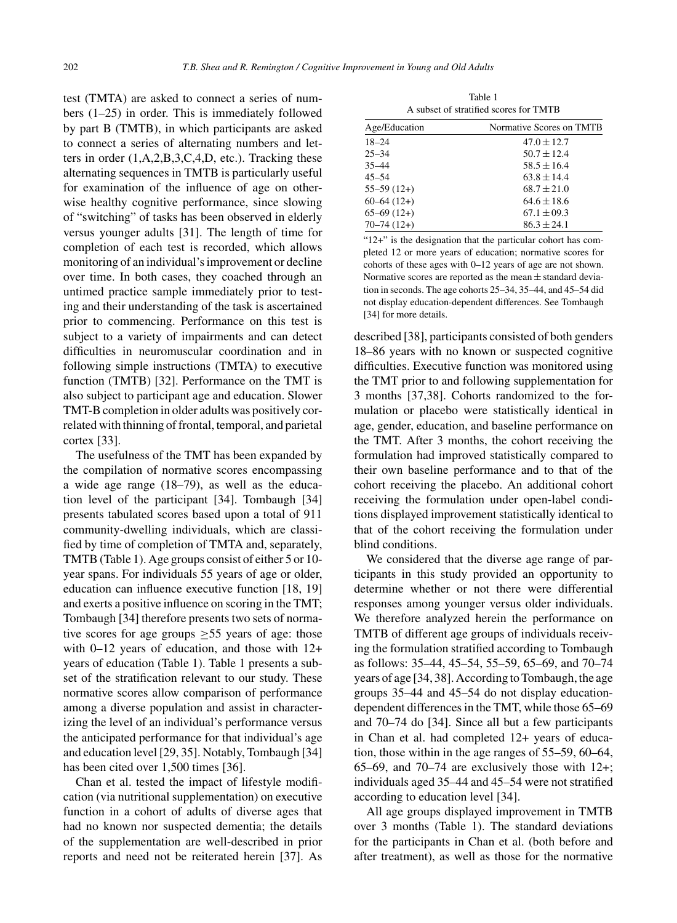test (TMTA) are asked to connect a series of numbers (1–25) in order. This is immediately followed by part B (TMTB), in which participants are asked to connect a series of alternating numbers and letters in order (1,A,2,B,3,C,4,D, etc.). Tracking these alternating sequences in TMTB is particularly useful for examination of the influence of age on otherwise healthy cognitive performance, since slowing of "switching" of tasks has been observed in elderly versus younger adults [31]. The length of time for completion of each test is recorded, which allows monitoring of an individual's improvement or decline over time. In both cases, they coached through an untimed practice sample immediately prior to testing and their understanding of the task is ascertained prior to commencing. Performance on this test is subject to a variety of impairments and can detect difficulties in neuromuscular coordination and in following simple instructions (TMTA) to executive function (TMTB) [32]. Performance on the TMT is also subject to participant age and education. Slower TMT-B completion in older adults was positively correlated with thinning of frontal, temporal, and parietal cortex [33].

The usefulness of the TMT has been expanded by the compilation of normative scores encompassing a wide age range (18–79), as well as the education level of the participant [34]. Tombaugh [34] presents tabulated scores based upon a total of 911 community-dwelling individuals, which are classified by time of completion of TMTA and, separately, TMTB (Table 1). Age groups consist of either 5 or 10 year spans. For individuals 55 years of age or older, education can influence executive function [18, 19] and exerts a positive influence on scoring in the TMT; Tombaugh [34] therefore presents two sets of normative scores for age groups  $\geq 55$  years of age: those with 0–12 years of education, and those with 12+ years of education (Table 1). Table 1 presents a subset of the stratification relevant to our study. These normative scores allow comparison of performance among a diverse population and assist in characterizing the level of an individual's performance versus the anticipated performance for that individual's age and education level [29, 35]. Notably, Tombaugh [34] has been cited over 1,500 times [36].

Chan et al. tested the impact of lifestyle modification (via nutritional supplementation) on executive function in a cohort of adults of diverse ages that had no known nor suspected dementia; the details of the supplementation are well-described in prior reports and need not be reiterated herein [37]. As

Table 1 A subset of stratified scores for TMTB

| Age/Education  | Normative Scores on TMTB |  |  |  |
|----------------|--------------------------|--|--|--|
| $18 - 24$      | $47.0 \pm 12.7$          |  |  |  |
| $25 - 34$      | $50.7 \pm 12.4$          |  |  |  |
| $35 - 44$      | $58.5 + 16.4$            |  |  |  |
| $45 - 54$      | $63.8 \pm 14.4$          |  |  |  |
| $55-59(12+)$   | $68.7 + 21.0$            |  |  |  |
| $60-64(12+)$   | $64.6 \pm 18.6$          |  |  |  |
| $65-69(12+)$   | $67.1 \pm 09.3$          |  |  |  |
| $70 - 74(12+)$ | $86.3 + 24.1$            |  |  |  |

"12+" is the designation that the particular cohort has completed 12 or more years of education; normative scores for cohorts of these ages with 0–12 years of age are not shown. Normative scores are reported as the mean  $\pm$  standard deviation in seconds. The age cohorts 25–34, 35–44, and 45–54 did not display education-dependent differences. See Tombaugh [34] for more details.

described [38], participants consisted of both genders 18–86 years with no known or suspected cognitive difficulties. Executive function was monitored using the TMT prior to and following supplementation for 3 months [37,38]. Cohorts randomized to the formulation or placebo were statistically identical in age, gender, education, and baseline performance on the TMT. After 3 months, the cohort receiving the formulation had improved statistically compared to their own baseline performance and to that of the cohort receiving the placebo. An additional cohort receiving the formulation under open-label conditions displayed improvement statistically identical to that of the cohort receiving the formulation under blind conditions.

We considered that the diverse age range of participants in this study provided an opportunity to determine whether or not there were differential responses among younger versus older individuals. We therefore analyzed herein the performance on TMTB of different age groups of individuals receiving the formulation stratified according to Tombaugh as follows: 35–44, 45–54, 55–59, 65–69, and 70–74 years of age [34, 38]. According to Tombaugh, the age groups 35–44 and 45–54 do not display educationdependent differences in the TMT, while those 65–69 and 70–74 do [34]. Since all but a few participants in Chan et al. had completed 12+ years of education, those within in the age ranges of 55–59, 60–64, 65–69, and 70–74 are exclusively those with 12+; individuals aged 35–44 and 45–54 were not stratified according to education level [34].

All age groups displayed improvement in TMTB over 3 months (Table 1). The standard deviations for the participants in Chan et al. (both before and after treatment), as well as those for the normative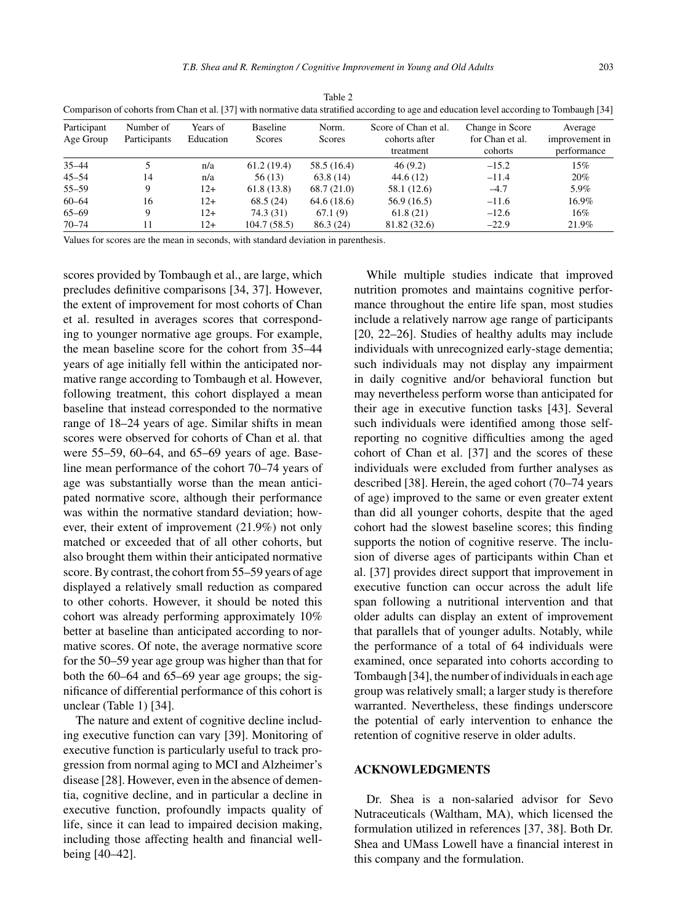| Participant<br>Age Group | Number of<br>Participants | Years of<br>Education | <b>Baseline</b><br>Scores | Norm.<br>Scores | Score of Chan et al.<br>cohorts after<br>treatment | Change in Score<br>for Chan et al.<br>cohorts | Average<br>improvement in<br>performance |
|--------------------------|---------------------------|-----------------------|---------------------------|-----------------|----------------------------------------------------|-----------------------------------------------|------------------------------------------|
| $35 - 44$                |                           | n/a                   | 61.2(19.4)                | 58.5 (16.4)     | 46(9.2)                                            | $-15.2$                                       | 15%                                      |
| $45 - 54$                | 14                        | n/a                   | 56 (13)                   | 63.8(14)        | 44.6(12)                                           | $-11.4$                                       | 20%                                      |
| $55 - 59$                |                           | $12+$                 | 61.8(13.8)                | 68.7(21.0)      | 58.1 (12.6)                                        | $-4.7$                                        | 5.9%                                     |
| $60 - 64$                | 16                        | $12+$                 | 68.5(24)                  | 64.6(18.6)      | 56.9(16.5)                                         | $-11.6$                                       | 16.9%                                    |
| $65 - 69$                |                           | $12+$                 | 74.3 (31)                 | 67.1(9)         | 61.8(21)                                           | $-12.6$                                       | 16%                                      |
| $70 - 74$                |                           | $12+$                 | 104.7(58.5)               | 86.3(24)        | 81.82 (32.6)                                       | $-22.9$                                       | 21.9%                                    |

Table 2 Comparison of cohorts from Chan et al. [37] with normative data stratified according to age and education level according to Tombaugh [34]

Values for scores are the mean in seconds, with standard deviation in parenthesis.

scores provided by Tombaugh et al., are large, which precludes definitive comparisons [34, 37]. However, the extent of improvement for most cohorts of Chan et al. resulted in averages scores that corresponding to younger normative age groups. For example, the mean baseline score for the cohort from 35–44 years of age initially fell within the anticipated normative range according to Tombaugh et al. However, following treatment, this cohort displayed a mean baseline that instead corresponded to the normative range of 18–24 years of age. Similar shifts in mean scores were observed for cohorts of Chan et al. that were 55–59, 60–64, and 65–69 years of age. Baseline mean performance of the cohort 70–74 years of age was substantially worse than the mean anticipated normative score, although their performance was within the normative standard deviation; however, their extent of improvement (21.9%) not only matched or exceeded that of all other cohorts, but also brought them within their anticipated normative score. By contrast, the cohort from 55–59 years of age displayed a relatively small reduction as compared to other cohorts. However, it should be noted this cohort was already performing approximately 10% better at baseline than anticipated according to normative scores. Of note, the average normative score for the 50–59 year age group was higher than that for both the 60–64 and 65–69 year age groups; the significance of differential performance of this cohort is unclear (Table 1) [34].

The nature and extent of cognitive decline including executive function can vary [39]. Monitoring of executive function is particularly useful to track progression from normal aging to MCI and Alzheimer's disease [28]. However, even in the absence of dementia, cognitive decline, and in particular a decline in executive function, profoundly impacts quality of life, since it can lead to impaired decision making, including those affecting health and financial wellbeing [40–42].

While multiple studies indicate that improved nutrition promotes and maintains cognitive performance throughout the entire life span, most studies include a relatively narrow age range of participants [20, 22–26]. Studies of healthy adults may include individuals with unrecognized early-stage dementia; such individuals may not display any impairment in daily cognitive and/or behavioral function but may nevertheless perform worse than anticipated for their age in executive function tasks [43]. Several such individuals were identified among those selfreporting no cognitive difficulties among the aged cohort of Chan et al. [37] and the scores of these individuals were excluded from further analyses as described [38]. Herein, the aged cohort (70–74 years of age) improved to the same or even greater extent than did all younger cohorts, despite that the aged cohort had the slowest baseline scores; this finding supports the notion of cognitive reserve. The inclusion of diverse ages of participants within Chan et al. [37] provides direct support that improvement in executive function can occur across the adult life span following a nutritional intervention and that older adults can display an extent of improvement that parallels that of younger adults. Notably, while the performance of a total of 64 individuals were examined, once separated into cohorts according to Tombaugh [34], the number of individuals in each age group was relatively small; a larger study is therefore warranted. Nevertheless, these findings underscore the potential of early intervention to enhance the retention of cognitive reserve in older adults.

## **ACKNOWLEDGMENTS**

Dr. Shea is a non-salaried advisor for Sevo Nutraceuticals (Waltham, MA), which licensed the formulation utilized in references [37, 38]. Both Dr. Shea and UMass Lowell have a financial interest in this company and the formulation.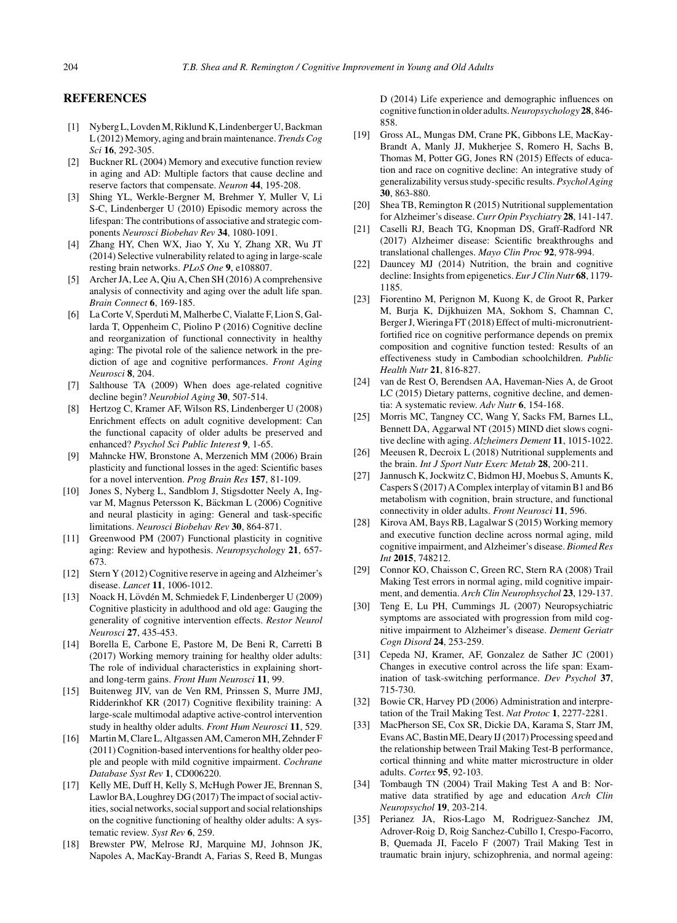## **REFERENCES**

- [1] Nyberg L, Lovden M, Riklund K, Lindenberger U, Backman L (2012) Memory, aging and brain maintenance. *Trends Cog Sci* **16**, 292-305.
- [2] Buckner RL (2004) Memory and executive function review in aging and AD: Multiple factors that cause decline and reserve factors that compensate. *Neuron* **44**, 195-208.
- [3] Shing YL, Werkle-Bergner M, Brehmer Y, Muller V, Li S-C, Lindenberger U (2010) Episodic memory across the lifespan: The contributions of associative and strategic components *Neurosci Biobehav Rev* **34**, 1080-1091.
- [4] Zhang HY, Chen WX, Jiao Y, Xu Y, Zhang XR, Wu JT (2014) Selective vulnerability related to aging in large-scale resting brain networks. *PLoS One* **9**, e108807.
- [5] Archer JA, Lee A, Qiu A, Chen SH (2016) A comprehensive analysis of connectivity and aging over the adult life span. *Brain Connect* **6**, 169-185.
- [6] La Corte V, Sperduti M, Malherbe C, Vialatte F, Lion S, Gallarda T, Oppenheim C, Piolino P (2016) Cognitive decline and reorganization of functional connectivity in healthy aging: The pivotal role of the salience network in the prediction of age and cognitive performances. *Front Aging Neurosci* **8**, 204.
- [7] Salthouse TA (2009) When does age-related cognitive decline begin? *Neurobiol Aging* **30**, 507-514.
- [8] Hertzog C, Kramer AF, Wilson RS, Lindenberger U (2008) Enrichment effects on adult cognitive development: Can the functional capacity of older adults be preserved and enhanced? *Psychol Sci Public Interest* **9**, 1-65.
- [9] Mahncke HW, Bronstone A, Merzenich MM (2006) Brain plasticity and functional losses in the aged: Scientific bases for a novel intervention. *Prog Brain Res* **157**, 81-109.
- [10] Jones S, Nyberg L, Sandblom J, Stigsdotter Neely A, Ingvar M, Magnus Petersson K, Bäckman L (2006) Cognitive and neural plasticity in aging: General and task-specific limitations. *Neurosci Biobehav Rev* **30**, 864-871.
- [11] Greenwood PM (2007) Functional plasticity in cognitive aging: Review and hypothesis. *Neuropsychology* **21**, 657- 673.
- [12] Stern Y (2012) Cognitive reserve in ageing and Alzheimer's disease. *Lancet* **11**, 1006-1012.
- [13] Noack H, Lövdén M, Schmiedek F, Lindenberger U (2009) Cognitive plasticity in adulthood and old age: Gauging the generality of cognitive intervention effects. *Restor Neurol Neurosci* **27**, 435-453.
- [14] Borella E, Carbone E, Pastore M, De Beni R, Carretti B (2017) Working memory training for healthy older adults: The role of individual characteristics in explaining shortand long-term gains. *Front Hum Neurosci* **11**, 99.
- [15] Buitenweg JIV, van de Ven RM, Prinssen S, Murre JMJ, Ridderinkhof KR (2017) Cognitive flexibility training: A large-scale multimodal adaptive active-control intervention study in healthy older adults. *Front Hum Neurosci* **11**, 529.
- [16] Martin M, Clare L, Altgassen AM, Cameron MH, Zehnder F (2011) Cognition-based interventions for healthy older people and people with mild cognitive impairment. *Cochrane Database Syst Rev* **1**, CD006220.
- [17] Kelly ME, Duff H, Kelly S, McHugh Power JE, Brennan S, Lawlor BA, Loughrey DG (2017) The impact of social activities, social networks, social support and social relationships on the cognitive functioning of healthy older adults: A systematic review. *Syst Rev* **6**, 259.
- [18] Brewster PW, Melrose RJ, Marquine MJ, Johnson JK, Napoles A, MacKay-Brandt A, Farias S, Reed B, Mungas

D (2014) Life experience and demographic influences on cognitive function in older adults.*Neuropsychology* **28**, 846- 858.

- [19] Gross AL, Mungas DM, Crane PK, Gibbons LE, MacKay-Brandt A, Manly JJ, Mukherjee S, Romero H, Sachs B, Thomas M, Potter GG, Jones RN (2015) Effects of education and race on cognitive decline: An integrative study of generalizability versus study-specific results. *Psychol Aging* **30**, 863-880.
- [20] Shea TB, Remington R (2015) Nutritional supplementation for Alzheimer's disease. *Curr Opin Psychiatry* **28**, 141-147.
- [21] Caselli RJ, Beach TG, Knopman DS, Graff-Radford NR (2017) Alzheimer disease: Scientific breakthroughs and translational challenges. *Mayo Clin Proc* **92**, 978-994.
- [22] Dauncey MJ (2014) Nutrition, the brain and cognitive decline: Insights from epigenetics. *Eur J Clin Nutr* **68**, 1179- 1185.
- [23] Fiorentino M, Perignon M, Kuong K, de Groot R, Parker M, Burja K, Dijkhuizen MA, Sokhom S, Chamnan C, Berger J, Wieringa FT (2018) Effect of multi-micronutrientfortified rice on cognitive performance depends on premix composition and cognitive function tested: Results of an effectiveness study in Cambodian schoolchildren. *Public Health Nutr* **21**, 816-827.
- [24] van de Rest O, Berendsen AA, Haveman-Nies A, de Groot LC (2015) Dietary patterns, cognitive decline, and dementia: A systematic review. *Adv Nutr* **6**, 154-168.
- [25] Morris MC, Tangney CC, Wang Y, Sacks FM, Barnes LL, Bennett DA, Aggarwal NT (2015) MIND diet slows cognitive decline with aging. *Alzheimers Dement* **11**, 1015-1022.
- [26] Meeusen R, Decroix L (2018) Nutritional supplements and the brain. *Int J Sport Nutr Exerc Metab* **28**, 200-211.
- [27] Jannusch K, Jockwitz C, Bidmon HJ, Moebus S, Amunts K, Caspers S (2017) A Complex interplay of vitamin B1 and B6 metabolism with cognition, brain structure, and functional connectivity in older adults. *Front Neurosci* **11**, 596.
- [28] Kirova AM, Bays RB, Lagalwar S (2015) Working memory and executive function decline across normal aging, mild cognitive impairment, and Alzheimer's disease. *Biomed Res Int* **2015**, 748212.
- [29] Connor KO, Chaisson C, Green RC, Stern RA (2008) Trail Making Test errors in normal aging, mild cognitive impairment, and dementia. *Arch Clin Neurophsychol* **23**, 129-137.
- [30] Teng E, Lu PH, Cummings JL (2007) Neuropsychiatric symptoms are associated with progression from mild cognitive impairment to Alzheimer's disease. *Dement Geriatr Cogn Disord* **24**, 253-259.
- [31] Cepeda NJ, Kramer, AF, Gonzalez de Sather JC (2001) Changes in executive control across the life span: Examination of task-switching performance. *Dev Psychol* **37**, 715-730.
- [32] Bowie CR, Harvey PD (2006) Administration and interpretation of the Trail Making Test. *Nat Protoc* **1**, 2277-2281.
- [33] MacPherson SE, Cox SR, Dickie DA, Karama S, Starr JM, Evans AC, Bastin ME, Deary IJ (2017) Processing speed and the relationship between Trail Making Test-B performance, cortical thinning and white matter microstructure in older adults. *Cortex* **95**, 92-103.
- [34] Tombaugh TN (2004) Trail Making Test A and B: Normative data stratified by age and education *Arch Clin Neuropsychol* **19**, 203-214.
- [35] Perianez JA, Rios-Lago M, Rodriguez-Sanchez JM, Adrover-Roig D, Roig Sanchez-Cubillo I, Crespo-Facorro, B, Quemada JI, Facelo F (2007) Trail Making Test in traumatic brain injury, schizophrenia, and normal ageing: